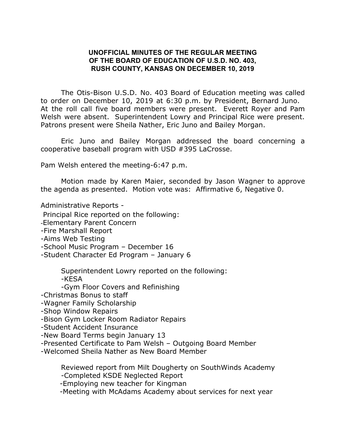## **UNOFFICIAL MINUTES OF THE REGULAR MEETING OF THE BOARD OF EDUCATION OF U.S.D. NO. 403, RUSH COUNTY, KANSAS ON DECEMBER 10, 2019**

The Otis-Bison U.S.D. No. 403 Board of Education meeting was called to order on December 10, 2019 at 6:30 p.m. by President, Bernard Juno. At the roll call five board members were present. Everett Royer and Pam Welsh were absent. Superintendent Lowry and Principal Rice were present. Patrons present were Sheila Nather, Eric Juno and Bailey Morgan.

Eric Juno and Bailey Morgan addressed the board concerning a cooperative baseball program with USD #395 LaCrosse.

Pam Welsh entered the meeting-6:47 p.m.

Motion made by Karen Maier, seconded by Jason Wagner to approve the agenda as presented. Motion vote was: Affirmative 6, Negative 0.

Administrative Reports -

Principal Rice reported on the following:

-Elementary Parent Concern

-Fire Marshall Report

-Aims Web Testing

-School Music Program – December 16

-Student Character Ed Program – January 6

Superintendent Lowry reported on the following:

-KESA

-Gym Floor Covers and Refinishing

-Christmas Bonus to staff

-Wagner Family Scholarship

-Shop Window Repairs

-Bison Gym Locker Room Radiator Repairs

-Student Accident Insurance

-New Board Terms begin January 13

-Presented Certificate to Pam Welsh – Outgoing Board Member

-Welcomed Sheila Nather as New Board Member

Reviewed report from Milt Dougherty on SouthWinds Academy

-Completed KSDE Neglected Report

-Employing new teacher for Kingman

-Meeting with McAdams Academy about services for next year